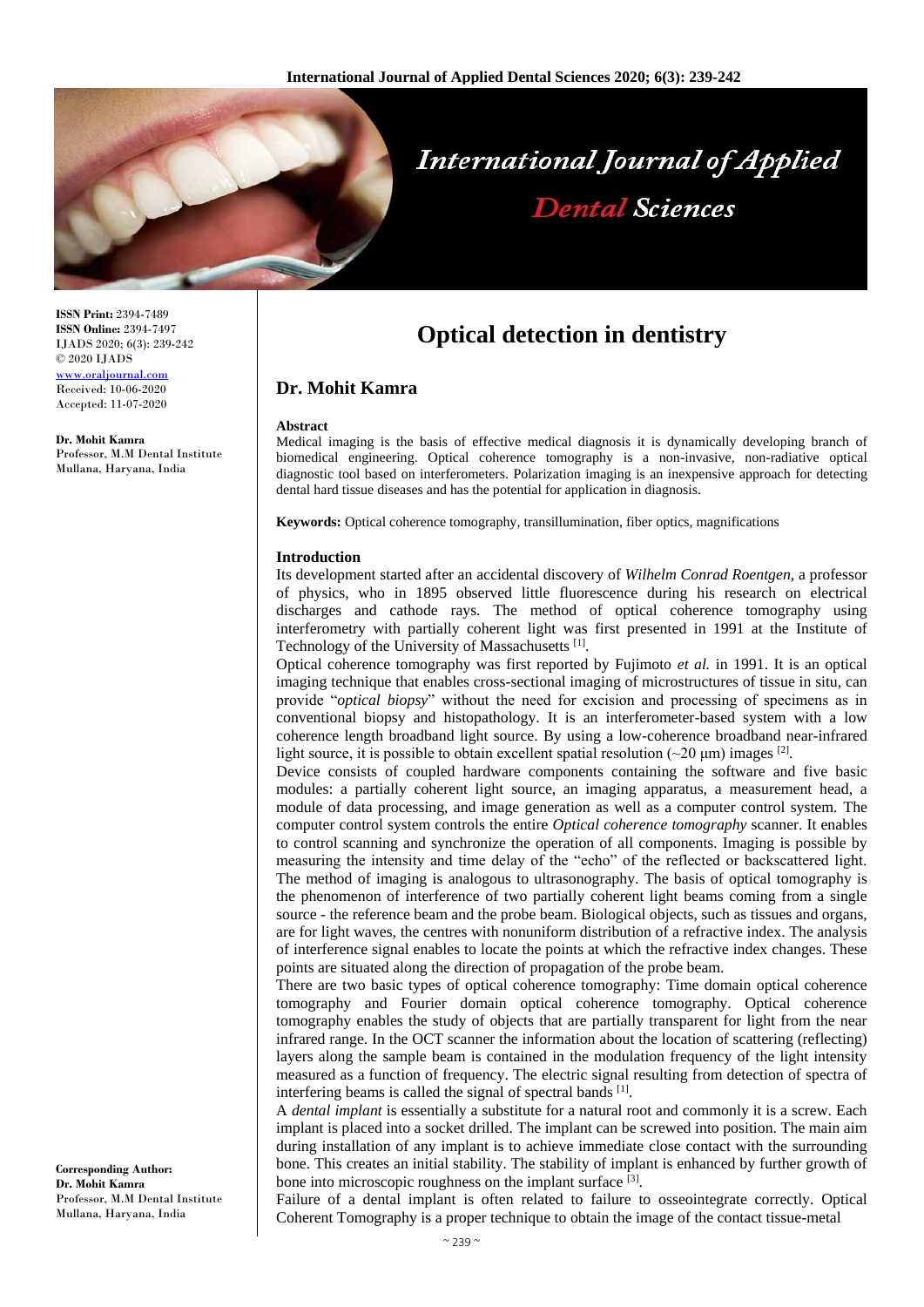

# **International Journal of Applied Dental Sciences**

**ISSN Print:** 2394-7489 **ISSN Online:** 2394-7497 IJADS 2020; 6(3): 239-242 © 2020 IJADS [www.oraljournal.com](http://www.oraljournal.com/) Received: 10-06-2020 Accepted: 11-07-2020

**Dr. Mohit Kamra** Professor, M.M Dental Institute Mullana, Haryana, India

# **Optical detection in dentistry**

# **Dr. Mohit Kamra**

#### **Abstract**

Medical imaging is the basis of effective medical diagnosis it is dynamically developing branch of biomedical engineering. Optical coherence tomography is a non-invasive, non-radiative optical diagnostic tool based on interferometers. Polarization imaging is an inexpensive approach for detecting dental hard tissue diseases and has the potential for application in diagnosis.

**Keywords:** Optical coherence tomography, transillumination, fiber optics, magnifications

#### **Introduction**

Its development started after an accidental discovery of *Wilhelm Conrad Roentgen*, a professor of physics, who in 1895 observed little fluorescence during his research on electrical discharges and cathode rays. The method of optical coherence tomography using interferometry with partially coherent light was first presented in 1991 at the Institute of Technology of the University of Massachusetts [1].

Optical coherence tomography was first reported by Fujimoto *et al.* in 1991. It is an optical imaging technique that enables cross-sectional imaging of microstructures of tissue in situ, can provide "*optical biopsy*" without the need for excision and processing of specimens as in conventional biopsy and histopathology. It is an interferometer-based system with a low coherence length broadband light source. By using a low-coherence broadband near-infrared light source, it is possible to obtain excellent spatial resolution  $(\sim 20 \,\mu m)$  images <sup>[2]</sup>.

Device consists of coupled hardware components containing the software and five basic modules: a partially coherent light source, an imaging apparatus, a measurement head, a module of data processing, and image generation as well as a computer control system. The computer control system controls the entire *Optical coherence tomography* scanner. It enables to control scanning and synchronize the operation of all components. Imaging is possible by measuring the intensity and time delay of the "echo" of the reflected or backscattered light. The method of imaging is analogous to ultrasonography. The basis of optical tomography is the phenomenon of interference of two partially coherent light beams coming from a single source - the reference beam and the probe beam. Biological objects, such as tissues and organs, are for light waves, the centres with nonuniform distribution of a refractive index. The analysis of interference signal enables to locate the points at which the refractive index changes. These points are situated along the direction of propagation of the probe beam.

There are two basic types of optical coherence tomography: Time domain optical coherence tomography and Fourier domain optical coherence tomography. Optical coherence tomography enables the study of objects that are partially transparent for light from the near infrared range. In the OCT scanner the information about the location of scattering (reflecting) layers along the sample beam is contained in the modulation frequency of the light intensity measured as a function of frequency. The electric signal resulting from detection of spectra of interfering beams is called the signal of spectral bands [1].

A *dental implant* is essentially a substitute for a natural root and commonly it is a screw. Each implant is placed into a socket drilled. The implant can be screwed into position. The main aim during installation of any implant is to achieve immediate close contact with the surrounding bone. This creates an initial stability. The stability of implant is enhanced by further growth of bone into microscopic roughness on the implant surface [3].

Failure of a dental implant is often related to failure to osseointegrate correctly. Optical Coherent Tomography is a proper technique to obtain the image of the contact tissue-metal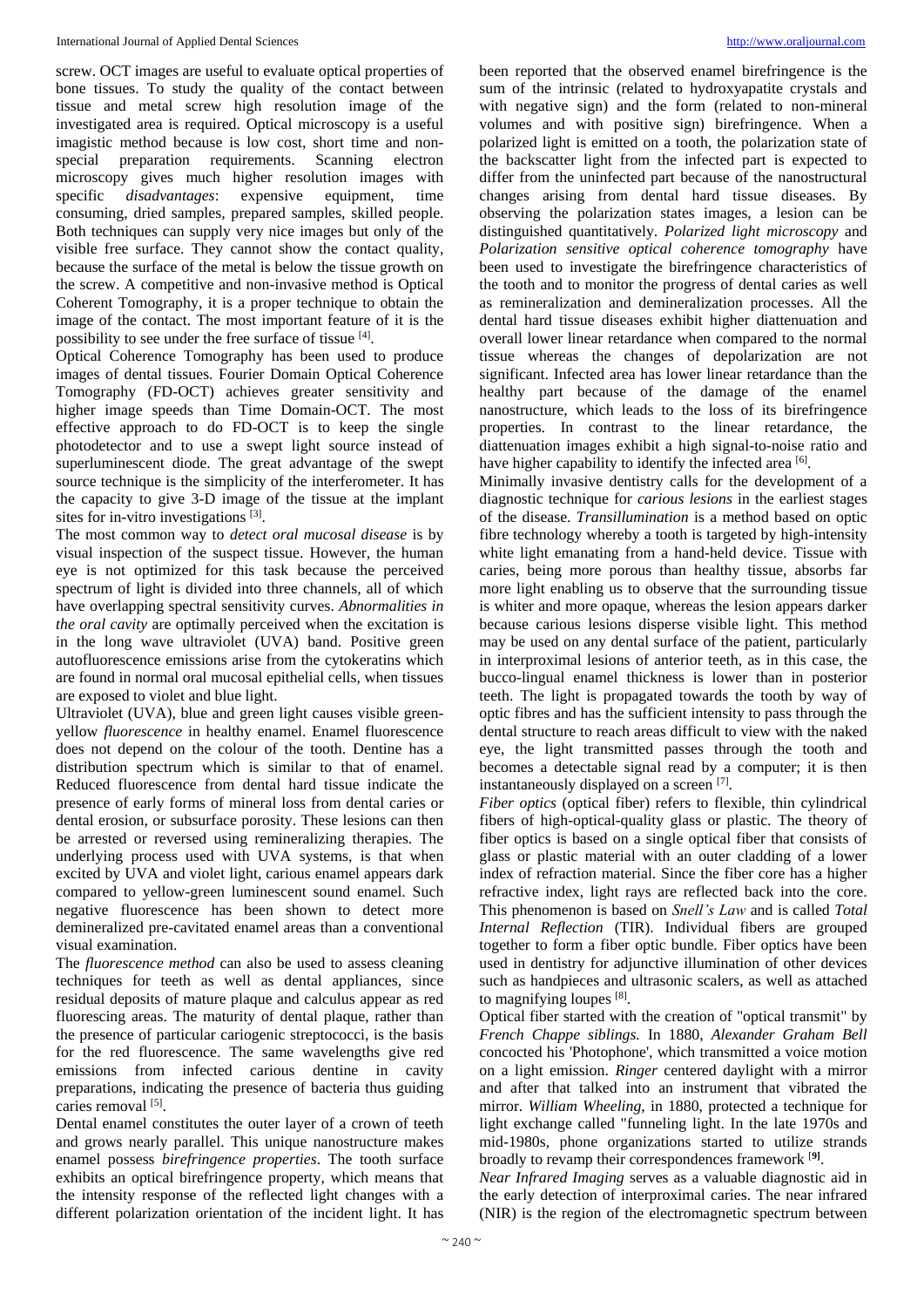screw. OCT images are useful to evaluate optical properties of bone tissues. To study the quality of the contact between tissue and metal screw high resolution image of the investigated area is required. Optical microscopy is a useful imagistic method because is low cost, short time and nonspecial preparation requirements. Scanning electron microscopy gives much higher resolution images with specific *disadvantages*: expensive equipment, time consuming, dried samples, prepared samples, skilled people. Both techniques can supply very nice images but only of the visible free surface. They cannot show the contact quality, because the surface of the metal is below the tissue growth on the screw. A competitive and non-invasive method is Optical Coherent Tomography, it is a proper technique to obtain the image of the contact. The most important feature of it is the possibility to see under the free surface of tissue [4].

Optical Coherence Tomography has been used to produce images of dental tissues. Fourier Domain Optical Coherence Tomography (FD-OCT) achieves greater sensitivity and higher image speeds than Time Domain-OCT. The most effective approach to do FD-OCT is to keep the single photodetector and to use a swept light source instead of superluminescent diode. The great advantage of the swept source technique is the simplicity of the interferometer. It has the capacity to give 3-D image of the tissue at the implant sites for in-vitro investigations [3].

The most common way to *detect oral mucosal disease* is by visual inspection of the suspect tissue. However, the human eye is not optimized for this task because the perceived spectrum of light is divided into three channels, all of which have overlapping spectral sensitivity curves. *Abnormalities in the oral cavity* are optimally perceived when the excitation is in the long wave ultraviolet (UVA) band. Positive green autofluorescence emissions arise from the cytokeratins which are found in normal oral mucosal epithelial cells, when tissues are exposed to violet and blue light.

Ultraviolet (UVA), blue and green light causes visible greenyellow *fluorescence* in healthy enamel. Enamel fluorescence does not depend on the colour of the tooth. Dentine has a distribution spectrum which is similar to that of enamel. Reduced fluorescence from dental hard tissue indicate the presence of early forms of mineral loss from dental caries or dental erosion, or subsurface porosity. These lesions can then be arrested or reversed using remineralizing therapies. The underlying process used with UVA systems, is that when excited by UVA and violet light, carious enamel appears dark compared to yellow-green luminescent sound enamel. Such negative fluorescence has been shown to detect more demineralized pre-cavitated enamel areas than a conventional visual examination.

The *fluorescence method* can also be used to assess cleaning techniques for teeth as well as dental appliances, since residual deposits of mature plaque and calculus appear as red fluorescing areas. The maturity of dental plaque, rather than the presence of particular cariogenic streptococci, is the basis for the red fluorescence. The same wavelengths give red emissions from infected carious dentine in cavity preparations, indicating the presence of bacteria thus guiding caries removal [5].

Dental enamel constitutes the outer layer of a crown of teeth and grows nearly parallel. This unique nanostructure makes enamel possess *birefringence properties*. The tooth surface exhibits an optical birefringence property, which means that the intensity response of the reflected light changes with a different polarization orientation of the incident light. It has

been reported that the observed enamel birefringence is the sum of the intrinsic (related to hydroxyapatite crystals and with negative sign) and the form (related to non-mineral volumes and with positive sign) birefringence. When a polarized light is emitted on a tooth, the polarization state of the backscatter light from the infected part is expected to differ from the uninfected part because of the nanostructural changes arising from dental hard tissue diseases. By observing the polarization states images, a lesion can be distinguished quantitatively. *Polarized light microscopy* and *Polarization sensitive optical coherence tomography* have been used to investigate the birefringence characteristics of the tooth and to monitor the progress of dental caries as well as remineralization and demineralization processes. All the dental hard tissue diseases exhibit higher diattenuation and overall lower linear retardance when compared to the normal tissue whereas the changes of depolarization are not significant. Infected area has lower linear retardance than the healthy part because of the damage of the enamel nanostructure, which leads to the loss of its birefringence properties. In contrast to the linear retardance, the diattenuation images exhibit a high signal-to-noise ratio and have higher capability to identify the infected area [6].

Minimally invasive dentistry calls for the development of a diagnostic technique for *carious lesions* in the earliest stages of the disease. *Transillumination* is a method based on optic fibre technology whereby a tooth is targeted by high-intensity white light emanating from a hand-held device. Tissue with caries, being more porous than healthy tissue, absorbs far more light enabling us to observe that the surrounding tissue is whiter and more opaque, whereas the lesion appears darker because carious lesions disperse visible light. This method may be used on any dental surface of the patient, particularly in interproximal lesions of anterior teeth, as in this case, the bucco-lingual enamel thickness is lower than in posterior teeth. The light is propagated towards the tooth by way of optic fibres and has the sufficient intensity to pass through the dental structure to reach areas difficult to view with the naked eye, the light transmitted passes through the tooth and becomes a detectable signal read by a computer; it is then instantaneously displayed on a screen [7].

*Fiber optics* (optical fiber) refers to flexible, thin cylindrical fibers of high-optical-quality glass or plastic. The theory of fiber optics is based on a single optical fiber that consists of glass or plastic material with an outer cladding of a lower index of refraction material. Since the fiber core has a higher refractive index, light rays are reflected back into the core. This phenomenon is based on *Snell's Law* and is called *Total Internal Reflection* (TIR). Individual fibers are grouped together to form a fiber optic bundle. Fiber optics have been used in dentistry for adjunctive illumination of other devices such as handpieces and ultrasonic scalers, as well as attached to magnifying loupes [8].

Optical fiber started with the creation of "optical transmit" by *French Chappe siblings.* In 1880, *Alexander Graham Bell* concocted his 'Photophone', which transmitted a voice motion on a light emission. *Ringer* centered daylight with a mirror and after that talked into an instrument that vibrated the mirror. *William Wheeling*, in 1880, protected a technique for light exchange called "funneling light. In the late 1970s and mid-1980s, phone organizations started to utilize strands broadly to revamp their correspondences framework [**9]** .

*Near Infrared Imaging* serves as a valuable diagnostic aid in the early detection of interproximal caries. The near infrared (NIR) is the region of the electromagnetic spectrum between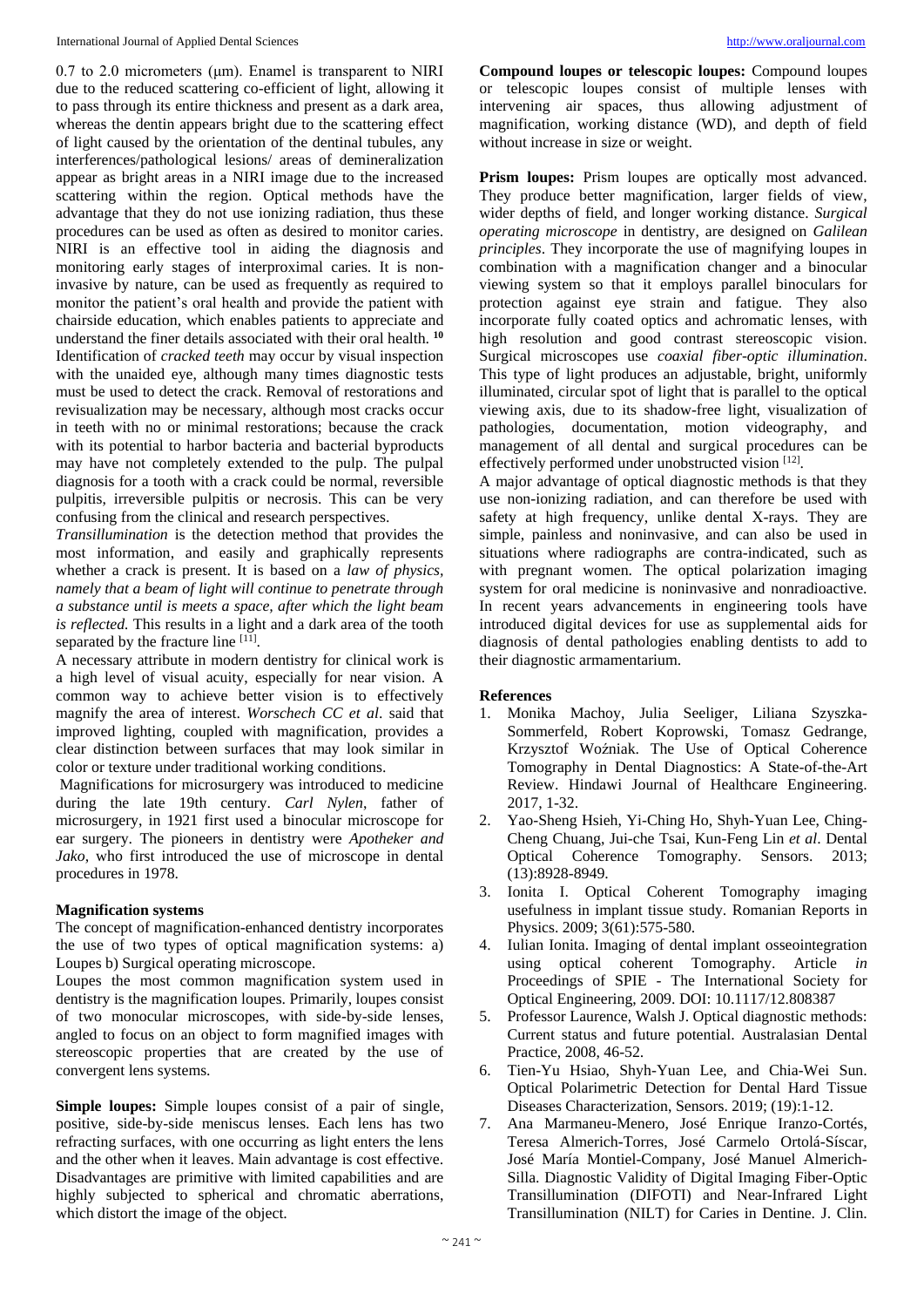0.7 to 2.0 micrometers (μm). Enamel is transparent to NIRI due to the reduced scattering co-efficient of light, allowing it to pass through its entire thickness and present as a dark area, whereas the dentin appears bright due to the scattering effect of light caused by the orientation of the dentinal tubules, any interferences/pathological lesions/ areas of demineralization appear as bright areas in a NIRI image due to the increased scattering within the region. Optical methods have the advantage that they do not use ionizing radiation, thus these procedures can be used as often as desired to monitor caries. NIRI is an effective tool in aiding the diagnosis and monitoring early stages of interproximal caries. It is noninvasive by nature, can be used as frequently as required to monitor the patient's oral health and provide the patient with chairside education, which enables patients to appreciate and understand the finer details associated with their oral health. **<sup>10</sup>** Identification of *cracked teeth* may occur by visual inspection with the unaided eye, although many times diagnostic tests must be used to detect the crack. Removal of restorations and revisualization may be necessary, although most cracks occur in teeth with no or minimal restorations; because the crack with its potential to harbor bacteria and bacterial byproducts may have not completely extended to the pulp. The pulpal diagnosis for a tooth with a crack could be normal, reversible pulpitis, irreversible pulpitis or necrosis. This can be very confusing from the clinical and research perspectives.

*Transillumination* is the detection method that provides the most information, and easily and graphically represents whether a crack is present. It is based on a *law of physics, namely that a beam of light will continue to penetrate through a substance until is meets a space, after which the light beam is reflected.* This results in a light and a dark area of the tooth separated by the fracture line [11].

A necessary attribute in modern dentistry for clinical work is a high level of visual acuity, especially for near vision. A common way to achieve better vision is to effectively magnify the area of interest. *Worschech CC et al*. said that improved lighting, coupled with magnification, provides a clear distinction between surfaces that may look similar in color or texture under traditional working conditions.

Magnifications for microsurgery was introduced to medicine during the late 19th century. *Carl Nylen*, father of microsurgery, in 1921 first used a binocular microscope for ear surgery. The pioneers in dentistry were *Apotheker and Jako*, who first introduced the use of microscope in dental procedures in 1978.

### **Magnification systems**

The concept of magnification-enhanced dentistry incorporates the use of two types of optical magnification systems: a) Loupes b) Surgical operating microscope.

Loupes the most common magnification system used in dentistry is the magnification loupes. Primarily, loupes consist of two monocular microscopes, with side-by-side lenses, angled to focus on an object to form magnified images with stereoscopic properties that are created by the use of convergent lens systems.

**Simple loupes:** Simple loupes consist of a pair of single, positive, side-by-side meniscus lenses. Each lens has two refracting surfaces, with one occurring as light enters the lens and the other when it leaves. Main advantage is cost effective. Disadvantages are primitive with limited capabilities and are highly subjected to spherical and chromatic aberrations, which distort the image of the object.

**Compound loupes or telescopic loupes:** Compound loupes or telescopic loupes consist of multiple lenses with intervening air spaces, thus allowing adjustment of magnification, working distance (WD), and depth of field without increase in size or weight.

**Prism loupes:** Prism loupes are optically most advanced. They produce better magnification, larger fields of view, wider depths of field, and longer working distance. *Surgical operating microscope* in dentistry, are designed on *Galilean principles*. They incorporate the use of magnifying loupes in combination with a magnification changer and a binocular viewing system so that it employs parallel binoculars for protection against eye strain and fatigue. They also incorporate fully coated optics and achromatic lenses, with high resolution and good contrast stereoscopic vision. Surgical microscopes use *coaxial fiber-optic illumination*. This type of light produces an adjustable, bright, uniformly illuminated, circular spot of light that is parallel to the optical viewing axis, due to its shadow-free light, visualization of pathologies, documentation, motion videography, and management of all dental and surgical procedures can be effectively performed under unobstructed vision [12].

A major advantage of optical diagnostic methods is that they use non-ionizing radiation, and can therefore be used with safety at high frequency, unlike dental X-rays. They are simple, painless and noninvasive, and can also be used in situations where radiographs are contra-indicated, such as with pregnant women. The optical polarization imaging system for oral medicine is noninvasive and nonradioactive. In recent years advancements in engineering tools have introduced digital devices for use as supplemental aids for diagnosis of dental pathologies enabling dentists to add to their diagnostic armamentarium.

# **References**

- 1. Monika Machoy, Julia Seeliger, Liliana Szyszka-Sommerfeld, Robert Koprowski, Tomasz Gedrange, Krzysztof Woźniak. The Use of Optical Coherence Tomography in Dental Diagnostics: A State-of-the-Art Review. Hindawi Journal of Healthcare Engineering. 2017, 1-32.
- 2. Yao-Sheng Hsieh, Yi-Ching Ho, Shyh-Yuan Lee, Ching-Cheng Chuang, Jui-che Tsai, Kun-Feng Lin *et al*. Dental Optical Coherence Tomography. Sensors. 2013; (13):8928-8949.
- 3. Ionita I. Optical Coherent Tomography imaging usefulness in implant tissue study. Romanian Reports in Physics. 2009; 3(61):575-580.
- 4. Iulian Ionita. Imaging of dental implant osseointegration using optical coherent Tomography. Article *in*  Proceedings of SPIE - The International Society for Optical Engineering, 2009. DOI: 10.1117/12.808387
- 5. Professor Laurence, Walsh J. Optical diagnostic methods: Current status and future potential. Australasian Dental Practice, 2008, 46-52.
- 6. Tien-Yu Hsiao, Shyh-Yuan Lee, and Chia-Wei Sun. Optical Polarimetric Detection for Dental Hard Tissue Diseases Characterization, Sensors. 2019; (19):1-12.
- 7. Ana Marmaneu-Menero, José Enrique Iranzo-Cortés, Teresa Almerich-Torres, José Carmelo Ortolá-Síscar, José María Montiel-Company, José Manuel Almerich-Silla. Diagnostic Validity of Digital Imaging Fiber-Optic Transillumination (DIFOTI) and Near-Infrared Light Transillumination (NILT) for Caries in Dentine. J. Clin.